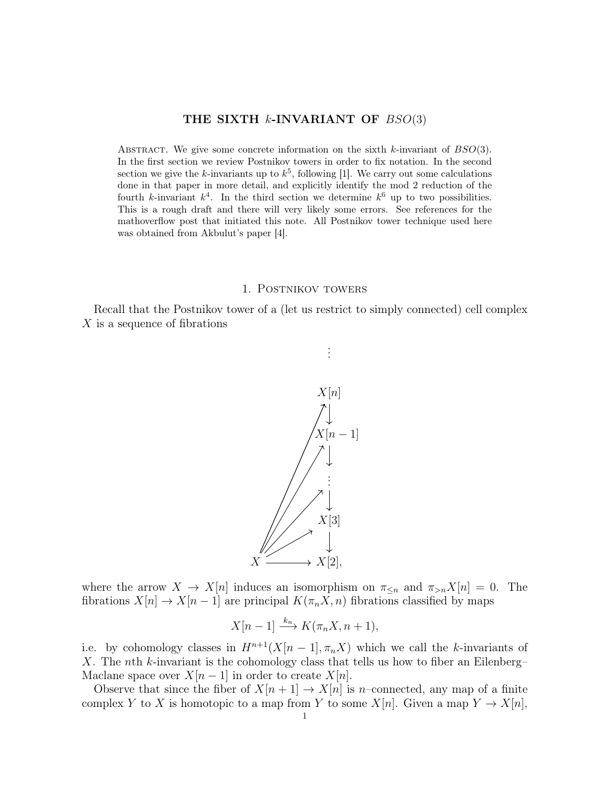## THE SIXTH  $k$ -INVARIANT OF  $BSO(3)$

ABSTRACT. We give some concrete information on the sixth k-invariant of  $BSO(3)$ . In the first section we review Postnikov towers in order to fix notation. In the second section we give the k-invariants up to  $k^5$ , following [1]. We carry out some calculations done in that paper in more detail, and explicitly identify the mod 2 reduction of the fourth k-invariant  $k^4$ . In the third section we determine  $k^6$  up to two possibilities. This is a rough draft and there will very likely some errors. See references for the mathoverflow post that initiated this note. All Postnikov tower technique used here was obtained from Akbulut's paper [4].

#### 1. Postnikov towers

Recall that the Postnikov tower of a (let us restrict to simply connected) cell complex X is a sequence of fibrations



where the arrow  $X \to X[n]$  induces an isomorphism on  $\pi_{\leq n}$  and  $\pi_{>n}X[n] = 0$ . The fibrations  $X[n] \to X[n-1]$  are principal  $K(\pi_n X, n)$  fibrations classified by maps

$$
X[n-1] \xrightarrow{k_n} K(\pi_n X, n+1),
$$

i.e. by cohomology classes in  $H^{n+1}(X[n-1], \pi_n X)$  which we call the k-invariants of X. The nth k-invariant is the cohomology class that tells us how to fiber an Eilenberg– Maclane space over  $X[n-1]$  in order to create  $X[n]$ .

Observe that since the fiber of  $X[n+1] \to X[n]$  is n–connected, any map of a finite complex Y to X is homotopic to a map from Y to some  $X[n]$ . Given a map  $Y \to X[n]$ ,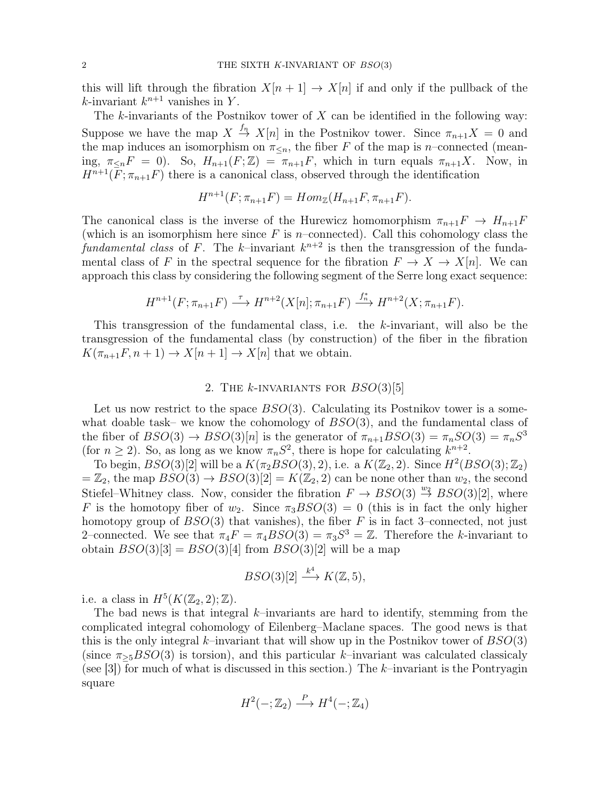this will lift through the fibration  $X[n+1] \to X[n]$  if and only if the pullback of the k-invariant  $k^{n+1}$  vanishes in Y.

The k-invariants of the Postnikov tower of  $X$  can be identified in the following way: Suppose we have the map  $X \stackrel{f_n}{\to} X[n]$  in the Postnikov tower. Since  $\pi_{n+1}X = 0$  and the map induces an isomorphism on  $\pi_{\leq n}$ , the fiber F of the map is n–connected (meaning,  $\pi_{\leq n}F = 0$ ). So,  $H_{n+1}(F;\mathbb{Z}) = \pi_{n+1}F$ , which in turn equals  $\pi_{n+1}X$ . Now, in  $H^{n+1}(F; \pi_{n+1}F)$  there is a canonical class, observed through the identification

$$
H^{n+1}(F; \pi_{n+1}F) = Hom_{\mathbb{Z}}(H_{n+1}F, \pi_{n+1}F).
$$

The canonical class is the inverse of the Hurewicz homomorphism  $\pi_{n+1}F \to H_{n+1}F$ (which is an isomorphism here since  $F$  is *n*–connected). Call this cohomology class the fundamental class of F. The k-invariant  $k^{n+2}$  is then the transgression of the fundamental class of F in the spectral sequence for the fibration  $F \to X \to X[n]$ . We can approach this class by considering the following segment of the Serre long exact sequence:

$$
H^{n+1}(F; \pi_{n+1}F) \stackrel{\tau}{\longrightarrow} H^{n+2}(X[n]; \pi_{n+1}F) \stackrel{f_n^*}{\longrightarrow} H^{n+2}(X; \pi_{n+1}F).
$$

This transgression of the fundamental class, i.e. the  $k$ -invariant, will also be the transgression of the fundamental class (by construction) of the fiber in the fibration  $K(\pi_{n+1}F, n+1) \to X[n+1] \to X[n]$  that we obtain.

# 2. THE  $k$ -INVARIANTS FOR  $BSO(3)[5]$

Let us now restrict to the space  $BSO(3)$ . Calculating its Postnikov tower is a somewhat doable task– we know the cohomology of  $BSO(3)$ , and the fundamental class of the fiber of  $BSO(3) \rightarrow BSO(3)[n]$  is the generator of  $\pi_{n+1} BSO(3) = \pi_n SO(3) = \pi_n S^3$ (for  $n \ge 2$ ). So, as long as we know  $\pi_n S^2$ , there is hope for calculating  $k^{n+2}$ .

To begin,  $BSO(3)[2]$  will be a  $K(\pi_2 BSO(3), 2)$ , i.e. a  $K(\mathbb{Z}_2, 2)$ . Since  $H^2(BSO(3); \mathbb{Z}_2)$  $=\mathbb{Z}_2$ , the map  $BSO(3) \rightarrow BSO(3)[2] = K(\mathbb{Z}_2, 2)$  can be none other than  $w_2$ , the second Stiefel–Whitney class. Now, consider the fibration  $F \to BSO(3) \stackrel{w_2}{\to} BSO(3)[2]$ , where F is the homotopy fiber of  $w_2$ . Since  $\pi_3BSO(3) = 0$  (this is in fact the only higher homotopy group of  $BSO(3)$  that vanishes), the fiber F is in fact 3–connected, not just 2-connected. We see that  $\pi_4 F = \pi_4 BSO(3) = \pi_3 S^3 = \mathbb{Z}$ . Therefore the k-invariant to obtain  $BSO(3)[3] = BSO(3)[4]$  from  $BSO(3)[2]$  will be a map

$$
BSO(3)[2] \xrightarrow{k^4} K(\mathbb{Z}, 5),
$$

i.e. a class in  $H^5(K(\mathbb{Z}_2, 2); \mathbb{Z})$ .

The bad news is that integral  $k$ –invariants are hard to identify, stemming from the complicated integral cohomology of Eilenberg–Maclane spaces. The good news is that this is the only integral k–invariant that will show up in the Postnikov tower of  $BSO(3)$ (since  $\pi_{>5}BSO(3)$  is torsion), and this particular k–invariant was calculated classicaly (see [3]) for much of what is discussed in this section.) The  $k$ -invariant is the Pontryagin square

$$
H^2(-; \mathbb{Z}_2) \xrightarrow{P} H^4(-; \mathbb{Z}_4)
$$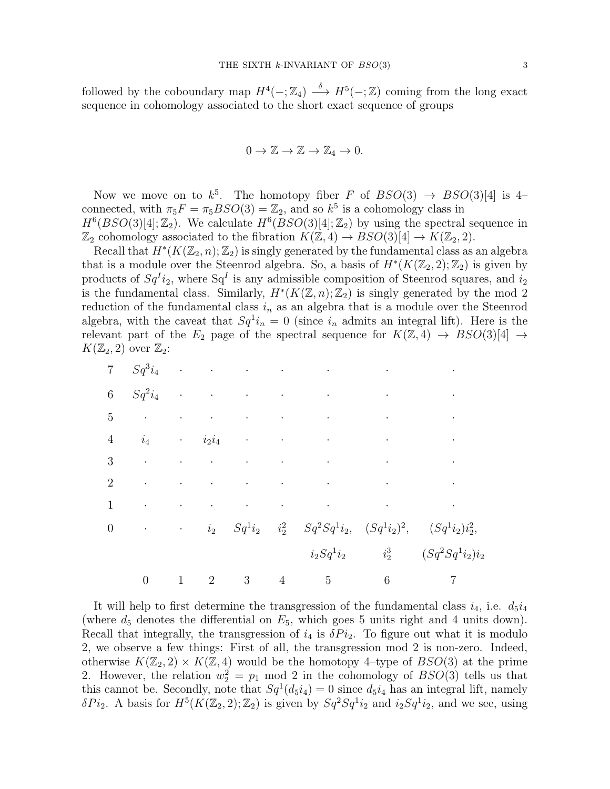followed by the coboundary map  $H^4(-; \mathbb{Z}_4) \longrightarrow H^5(-; \mathbb{Z})$  coming from the long exact sequence in cohomology associated to the short exact sequence of groups

$$
0 \to \mathbb{Z} \to \mathbb{Z} \to \mathbb{Z}_4 \to 0.
$$

Now we move on to  $k^5$ . The homotopy fiber F of  $BSO(3) \rightarrow BSO(3)[4]$  is 4connected, with  $\pi_5 F = \pi_5 BSO(3) = \mathbb{Z}_2$ , and so  $k^5$  is a cohomology class in  $H^6(BSO(3)[4];\mathbb{Z}_2)$ . We calculate  $H^6(BSO(3)[4];\mathbb{Z}_2)$  by using the spectral sequence in  $\mathbb{Z}_2$  cohomology associated to the fibration  $K(\mathbb{Z},4) \to BSO(3)[4] \to K(\mathbb{Z}_2,2)$ .

Recall that  $H^*(K(\mathbb{Z}_2, n); \mathbb{Z}_2)$  is singly generated by the fundamental class as an algebra that is a module over the Steenrod algebra. So, a basis of  $H^*(K(\mathbb{Z}_2, 2); \mathbb{Z}_2)$  is given by products of  $Sq<sup>I</sup> i<sub>2</sub>$ , where  $Sq<sup>I</sup>$  is any admissible composition of Steenrod squares, and  $i<sub>2</sub>$ is the fundamental class. Similarly,  $H^*(K(\mathbb{Z}, n); \mathbb{Z}_2)$  is singly generated by the mod 2 reduction of the fundamental class  $i_n$  as an algebra that is a module over the Steenrod algebra, with the caveat that  $Sq^1 i_n = 0$  (since  $i_n$  admits an integral lift). Here is the relevant part of the  $E_2$  page of the spectral sequence for  $K(\mathbb{Z},4) \to BSO(3)[4] \to$  $K(\mathbb{Z}_2, 2)$  over  $\mathbb{Z}_2$ :

| $6\phantom{.}$   |                  |  |  |                                                                                                                                                                                                                                            | $Sq^2i_4$                                                                                                                                                                                                                     |
|------------------|------------------|--|--|--------------------------------------------------------------------------------------------------------------------------------------------------------------------------------------------------------------------------------------------|-------------------------------------------------------------------------------------------------------------------------------------------------------------------------------------------------------------------------------|
|                  |                  |  |  |                                                                                                                                                                                                                                            | $5$ and $6$ and $7$ and $7$ and $7$ and $7$ and $7$ and $7$ and $7$ and $7$ and $7$ and $7$ and $7$ and $7$ and $7$ and $7$ and $7$ and $7$ and $7$ and $7$ and $7$ and $7$ and $7$ and $7$ and $7$ and $7$ and $7$ and $7$ a |
| $\overline{4}$   |                  |  |  |                                                                                                                                                                                                                                            |                                                                                                                                                                                                                               |
|                  |                  |  |  | $3$ and $3$ and $3$ and $3$ and $3$ and $3$ and $3$ and $3$ and $3$ and $3$ and $3$ and $3$ and $3$ and $3$ and $3$ and $3$ and $3$ and $3$ and $3$ and $3$ and $3$ and $3$ and $3$ and $3$ and $3$ and $3$ and $3$ and $3$ a              |                                                                                                                                                                                                                               |
| $\overline{2}$   |                  |  |  | $\mathcal{O}(\mathcal{O}(n^2))$ . The set of the set of the set of the set of the set of the set of the set of the set of the set of the set of the set of the set of the set of the set of the set of the set of the set of the set of th |                                                                                                                                                                                                                               |
| $\mathbf{1}$     |                  |  |  | $\mathcal{L}^{\mathcal{L}}$ , where the contribution of the contribution of the contribution of the contribution of the contribution of the contribution of the contribution of the contribution of the contribution of the contribution   |                                                                                                                                                                                                                               |
| $\boldsymbol{0}$ |                  |  |  |                                                                                                                                                                                                                                            | $\cdot$ $i_2$ $Sq^1i_2$ $i_2^2$ $Sq^2Sq^1i_2$ , $(Sq^1i_2)^2$ , $(Sq^1i_2)i_2^2$ ,                                                                                                                                            |
|                  |                  |  |  |                                                                                                                                                                                                                                            | $i_2Sq^1i_2$ $i_2^3$ $(Sq^2Sq^1i_2)i_2$                                                                                                                                                                                       |
|                  | $\boldsymbol{0}$ |  |  |                                                                                                                                                                                                                                            | $1 \quad 2 \quad 3 \quad 4 \quad 5 \quad 6 \quad 7$                                                                                                                                                                           |

It will help to first determine the transgression of the fundamental class  $i_4$ , i.e.  $d_5i_4$ (where  $d_5$  denotes the differential on  $E_5$ , which goes 5 units right and 4 units down). Recall that integrally, the transgression of  $i_4$  is  $\delta P i_2$ . To figure out what it is modulo 2, we observe a few things: First of all, the transgression mod 2 is non-zero. Indeed, otherwise  $K(\mathbb{Z}_2, 2) \times K(\mathbb{Z}, 4)$  would be the homotopy 4-type of  $BSO(3)$  at the prime 2. However, the relation  $w_2^2 = p_1 \mod 2$  in the cohomology of  $BSO(3)$  tells us that this cannot be. Secondly, note that  $Sq^1(d_5i_4) = 0$  since  $d_5i_4$  has an integral lift, namely  $\delta P i_2$ . A basis for  $H^5(K(\mathbb{Z}_2, 2); \mathbb{Z}_2)$  is given by  $Sq^2Sq^1 i_2$  and  $i_2Sq^1 i_2$ , and we see, using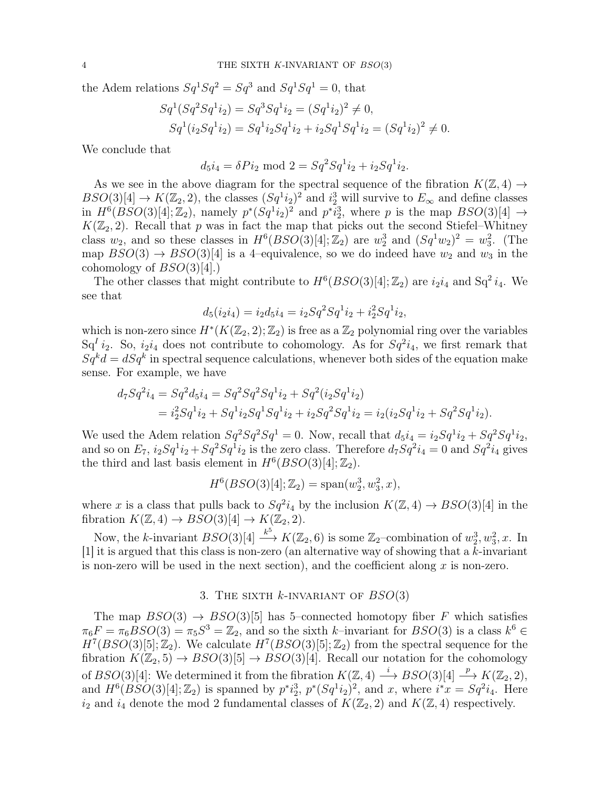the Adem relations  $Sq^1 Sq^2 = Sq^3$  and  $Sq^1 Sq^1 = 0$ , that

$$
Sq1(Sq2Sq1i2) = Sq3Sq1i2 = (Sq1i2)2 \neq 0,
$$
  
\n
$$
Sq1(i2Sq1i2) = Sq1i2Sq1i2 + i2Sq1Sq1i2 = (Sq1i2)2 \neq 0.
$$

We conclude that

$$
d_5i_4 = \delta Pi_2 \text{ mod } 2 = Sq^2Sq^1i_2 + i_2Sq^1i_2.
$$

As we see in the above diagram for the spectral sequence of the fibration  $K(\mathbb{Z}, 4) \rightarrow$  $BSO(3)[4] \to K(\mathbb{Z}_2, 2)$ , the classes  $(Sq^1i_2)^2$  and  $i_2^3$  will survive to  $E_{\infty}$  and define classes in  $H^6(BSO(3)[4];\mathbb{Z}_2)$ , namely  $p^*(Sq^1i_2)^2$  and  $p^*\tilde{i}_2^3$ , where p is the map  $BSO(3)[4] \rightarrow$  $K(\mathbb{Z}_2, 2)$ . Recall that p was in fact the map that picks out the second Stiefel–Whitney class  $w_2$ , and so these classes in  $H^6(BSO(3)[4];\mathbb{Z}_2)$  are  $w_2^3$  and  $(Sq^1w_2)^2 = w_3^2$ . (The map  $BSO(3) \rightarrow BSO(3)[4]$  is a 4-equivalence, so we do indeed have  $w_2$  and  $w_3$  in the cohomology of  $BSO(3)[4]$ .)

The other classes that might contribute to  $H^6(BSO(3)[4];\mathbb{Z}_2)$  are  $i_2i_4$  and  $Sq^2 i_4$ . We see that

$$
d_5(i_2i_4) = i_2d_5i_4 = i_2Sq^2Sq^1i_2 + i_2^2Sq^1i_2,
$$

which is non-zero since  $H^*(K(\mathbb{Z}_2, 2); \mathbb{Z}_2)$  is free as a  $\mathbb{Z}_2$  polynomial ring over the variables  $Sq<sup>I</sup> i<sub>2</sub>$ . So,  $i<sub>2</sub>i<sub>4</sub>$  does not contribute to cohomology. As for  $Sq<sup>2</sup>i<sub>4</sub>$ , we first remark that  $Sq^k d = dSq^k$  in spectral sequence calculations, whenever both sides of the equation make sense. For example, we have

$$
d_7Sq^2i_4 = Sq^2d_5i_4 = Sq^2Sq^2Sq^1i_2 + Sq^2(i_2Sq^1i_2)
$$
  
=  $i_2^2Sq^1i_2 + Sq^1i_2Sq^1Sq^1i_2 + i_2Sq^2Sq^1i_2 = i_2(i_2Sq^1i_2 + Sq^2Sq^1i_2).$ 

We used the Adem relation  $Sq^2 Sq^2 Sq^1 = 0$ . Now, recall that  $d_5i_4 = i_2Sq^1 i_2 + Sq^2 Sq^1 i_2$ , and so on  $E_7$ ,  $i_2Sq^1i_2 + Sq^2Sq^1i_2$  is the zero class. Therefore  $d_7Sq^2i_4 = 0$  and  $Sq^2i_4$  gives the third and last basis element in  $H^6(BSO(3)[4];\mathbb{Z}_2)$ .

$$
H^{6}(BSO(3)[4]; \mathbb{Z}_{2}) = \text{span}(w_{2}^{3}, w_{3}^{2}, x),
$$

where x is a class that pulls back to  $Sq^2 i_4$  by the inclusion  $K(\mathbb{Z}, 4) \to BSO(3)[4]$  in the fibration  $K(\mathbb{Z}, 4) \rightarrow BSO(3)[4] \rightarrow K(\mathbb{Z}_2, 2)$ .

Now, the k-invariant  $BSO(3)[4] \stackrel{k^5}{\longrightarrow} K(\mathbb{Z}_2, 6)$  is some  $\mathbb{Z}_2$ -combination of  $w_2^3, w_3^2, x$ . In [1] it is argued that this class is non-zero (an alternative way of showing that a  $k$ -invariant is non-zero will be used in the next section), and the coefficient along  $x$  is non-zero.

## 3. THE SIXTH  $k$ -INVARIANT OF  $BSO(3)$

The map  $BSO(3) \rightarrow BSO(3)[5]$  has 5–connected homotopy fiber F which satisfies  $\pi_6F = \pi_6BSO(3) = \pi_5S^3 = \mathbb{Z}_2$ , and so the sixth k-invariant for  $BSO(3)$  is a class  $k^6 \in$  $H^7(BSO(3)[5];\mathbb{Z}_2)$ . We calculate  $H^7(BSO(3)[5];\mathbb{Z}_2)$  from the spectral sequence for the fibration  $K(\mathbb{Z}_2, 5) \rightarrow BSO(3)[5] \rightarrow BSO(3)[4]$ . Recall our notation for the cohomology of  $BSO(3)[4]$ : We determined it from the fibration  $K(\mathbb{Z}, 4) \stackrel{i}{\longrightarrow} BSO(3)[4] \stackrel{p}{\longrightarrow} K(\mathbb{Z}_2, 2)$ , and  $H^{6}(BSO(3)[4]; \mathbb{Z}_{2})$  is spanned by  $p^{*}i_{2}^{3}$ ,  $p^{*}(Sq^{1}i_{2})^{2}$ , and x, where  $i^{*}x = Sq^{2}i_{4}$ . Here  $i_2$  and  $i_4$  denote the mod 2 fundamental classes of  $K(\mathbb{Z}_2, 2)$  and  $K(\mathbb{Z}, 4)$  respectively.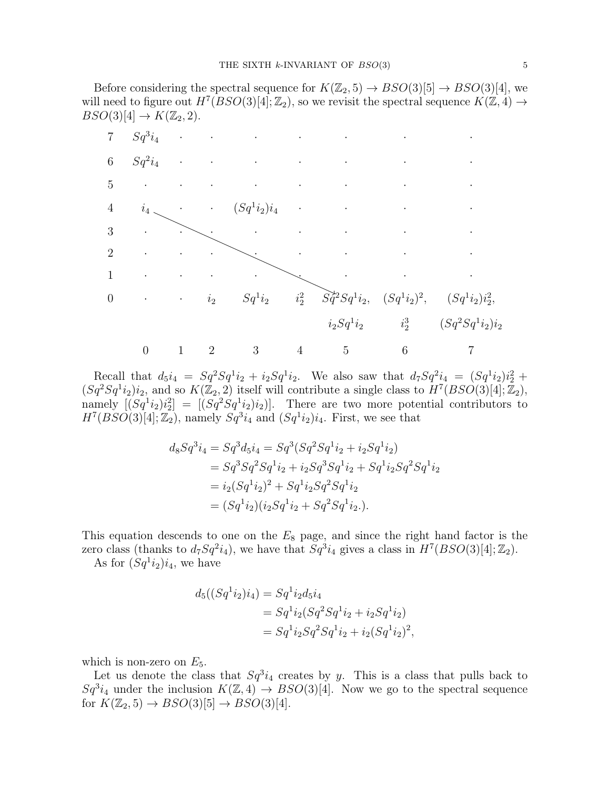Before considering the spectral sequence for  $K(\mathbb{Z}_2, 5) \rightarrow BSO(3)[5] \rightarrow BSO(3)[4]$ , we will need to figure out  $H^7(BSO(3)[4]; \mathbb{Z}_2)$ , so we revisit the spectral sequence  $K(\mathbb{Z}, 4) \rightarrow$  $BSO(3)[4] \rightarrow K(\mathbb{Z}_2, 2).$ 



Recall that  $d_5i_4 = Sq^2Sq^1i_2 + i_2Sq^1i_2$ . We also saw that  $d_7Sq^2i_4 = (Sq^1i_2)i_2^2 +$  $(Sq^2Sq^1i_2)i_2$ , and so  $K(\mathbb{Z}_2, 2)$  itself will contribute a single class to  $H^7(BSO(3)[4]; \mathbb{Z}_2)$ , namely  $[(Sq^1i_2)i_2^2] = [(Sq^2Sq^1i_2)i_2]$ . There are two more potential contributors to  $H^7(BSO(3)[4];\mathbb{Z}_2)$ , namely  $Sq^3i_4$  and  $(Sq^1i_2)i_4$ . First, we see that

$$
d_8Sq^3i_4 = Sq^3d_5i_4 = Sq^3(Sq^2Sq^1i_2 + i_2Sq^1i_2)
$$
  
=  $Sq^3Sq^2Sq^1i_2 + i_2Sq^3Sq^1i_2 + Sq^1i_2Sq^2Sq^1i_2$   
=  $i_2(Sq^1i_2)^2 + Sq^1i_2Sq^2Sq^1i_2$   
=  $(Sq^1i_2)(i_2Sq^1i_2 + Sq^2Sq^1i_2)$ .

This equation descends to one on the  $E_8$  page, and since the right hand factor is the zero class (thanks to  $d_7Sq^2i_4$ ), we have that  $Sq^3i_4$  gives a class in  $H^7(BSO(3)[4];\mathbb{Z}_2)$ .

As for  $(Sq^1i_2)i_4$ , we have

$$
d_5((Sq^1i_2)i_4) = Sq^1i_2d_5i_4
$$
  
= Sq^1i\_2(Sq^2Sq^1i\_2 + i\_2Sq^1i\_2)  
= Sq^1i\_2Sq^2Sq^1i\_2 + i\_2(Sq^1i\_2)^2,

which is non-zero on  $E_5$ .

Let us denote the class that  $Sq^3i_4$  creates by y. This is a class that pulls back to  $Sq^3i_4$  under the inclusion  $K(\mathbb{Z},4) \rightarrow BSO(3)[4]$ . Now we go to the spectral sequence for  $K(\mathbb{Z}_2, 5) \rightarrow BSO(3)[5] \rightarrow BSO(3)[4]$ .